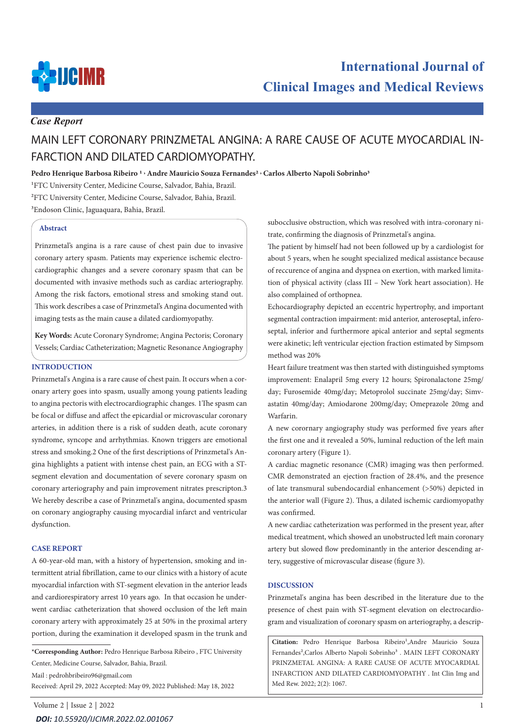

## *Case Report*

# MAIN LEFT CORONARY PRINZMETAL ANGINA: A RARE CAUSE OF ACUTE MYOCARDIAL IN-FARCTION AND DILATED CARDIOMYOPATHY.

**Pedro Henrique Barbosa Ribeiro 1 , Andre Mauricio Souza Fernandes2 , Carlos Alberto Napoli Sobrinho3**

1FTC University Center, Medicine Course, Salvador, Bahia, Brazil. 2FTC University Center, Medicine Course, Salvador, Bahia, Brazil. 3Endoson Clinic, Jaguaquara, Bahia, Brazil.

#### **Abstract**

Prinzmetal's angina is a rare cause of chest pain due to invasive coronary artery spasm. Patients may experience ischemic electrocardiographic changes and a severe coronary spasm that can be documented with invasive methods such as cardiac arteriography. Among the risk factors, emotional stress and smoking stand out. This work describes a case of Prinzmetal's Angina documented with imaging tests as the main cause a dilated cardiomyopathy.

**Key Words:** Acute Coronary Syndrome; Angina Pectoris; Coronary Vessels; Cardiac Catheterization; Magnetic Resonance Angiography

### **INTRODUCTION**

Prinzmetal's Angina is a rare cause of chest pain. It occurs when a coronary artery goes into spasm, usually among young patients leading to angina pectoris with electrocardiographic changes. 1The spasm can be focal or diffuse and affect the epicardial or microvascular coronary arteries, in addition there is a risk of sudden death, acute coronary syndrome, syncope and arrhythmias. Known triggers are emotional stress and smoking.2 One of the first descriptions of Prinzmetal's Angina highlights a patient with intense chest pain, an ECG with a STsegment elevation and documentation of severe coronary spasm on coronary arteriography and pain improvement nitrates prescripton.3 We hereby describe a case of Prinzmetal's angina, documented spasm on coronary angiography causing myocardial infarct and ventricular dysfunction.

#### **CASE REPORT**

A 60-year-old man, with a history of hypertension, smoking and intermittent atrial fibrillation, came to our clinics with a history of acute myocardial infarction with ST-segment elevation in the anterior leads and cardiorespiratory arrest 10 years ago. In that occasion he underwent cardiac catheterization that showed occlusion of the left main coronary artery with approximately 25 at 50% in the proximal artery portion, during the examination it developed spasm in the trunk and

**\*Corresponding Author:** Pedro Henrique Barbosa Ribeiro , FTC University Center, Medicine Course, Salvador, Bahia, Brazil.

Mail : pedrohbribeiro96@gmail.com

Received: April 29, 2022 Accepted: May 09, 2022 Published: May 18, 2022

subocclusive obstruction, which was resolved with intra-coronary nitrate, confirming the diagnosis of Prinzmetal's angina.

The patient by himself had not been followed up by a cardiologist for about 5 years, when he sought specialized medical assistance because of reccurence of angina and dyspnea on exertion, with marked limitation of physical activity (class III – New York heart association). He also complained of orthopnea.

Echocardiography depicted an eccentric hypertrophy, and important segmental contraction impairment: mid anterior, anteroseptal, inferoseptal, inferior and furthermore apical anterior and septal segments were akinetic; left ventricular ejection fraction estimated by Simpsom method was 20%

Heart failure treatment was then started with distinguished symptoms improvement: Enalapril 5mg every 12 hours; Spironalactone 25mg/ day; Furosemide 40mg/day; Metoprolol succinate 25mg/day; Simvastatin 40mg/day; Amiodarone 200mg/day; Omeprazole 20mg and Warfarin.

A new corornary angiography study was performed five years after the first one and it revealed a 50%, luminal reduction of the left main coronary artery (Figure 1).

A cardiac magnetic resonance (CMR) imaging was then performed. CMR demonstrated an ejection fraction of 28.4%, and the presence of late transmural subendocardial enhancement (>50%) depicted in the anterior wall (Figure 2). Thus, a dilated ischemic cardiomyopathy was confirmed.

A new cardiac catheterization was performed in the present year, after medical treatment, which showed an unobstructed left main coronary artery but slowed flow predominantly in the anterior descending artery, suggestive of microvascular disease (figure 3).

#### **DISCUSSION**

Prinzmetal's angina has been described in the literature due to the presence of chest pain with ST-segment elevation on electrocardiogram and visualization of coronary spasm on arteriography, a descrip-

Citation: Pedro Henrique Barbosa Ribeiro<sup>1</sup>,Andre Mauricio Souza Fernandes<sup>2</sup>,Carlos Alberto Napoli Sobrinho<sup>3</sup>. MAIN LEFT CORONARY PRINZMETAL ANGINA: A RARE CAUSE OF ACUTE MYOCARDIAL INFARCTION AND DILATED CARDIOMYOPATHY . Int Clin Img and Med Rew. 2022; 2(2): 1067.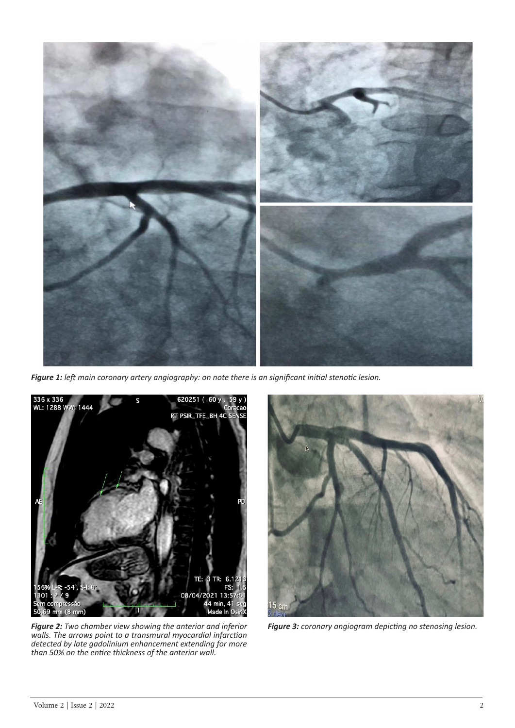

*Figure 1: left main coronary artery angiography: on note there is an significant initial stenotic lesion.* 



*Figure 2: Two chamber view showing the anterior and inferior walls. The arrows point to a transmural myocardial infarction detected by late gadolinium enhancement extending for more than 50% on the entire thickness of the anterior wall.*



*Figure 3: coronary angiogram depicting no stenosing lesion.*